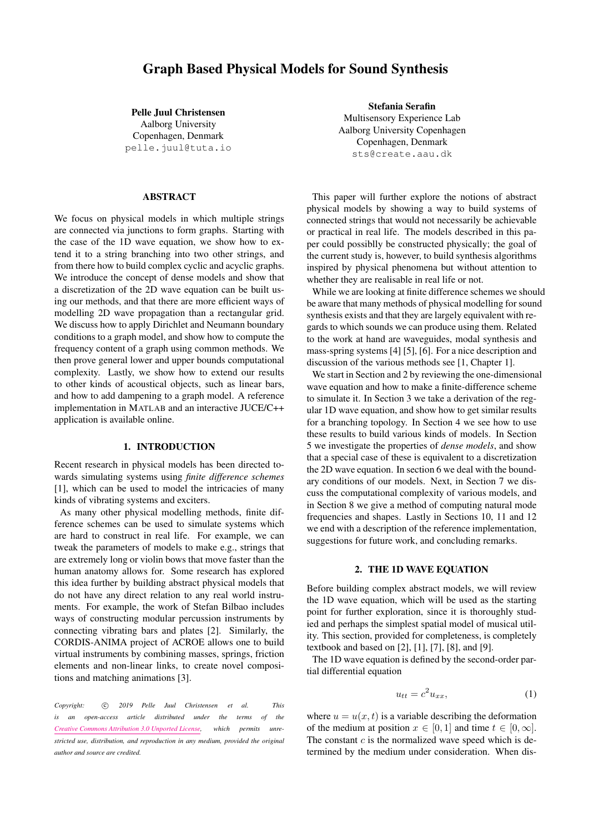# Graph Based Physical Models for Sound Synthesis

Pelle Juul Christensen Aalborg University Copenhagen, Denmark [pelle.juul@tuta.io](mailto:pelle.juul@tuta.io)

## ABSTRACT

We focus on physical models in which multiple strings are connected via junctions to form graphs. Starting with the case of the 1D wave equation, we show how to extend it to a string branching into two other strings, and from there how to build complex cyclic and acyclic graphs. We introduce the concept of dense models and show that a discretization of the 2D wave equation can be built using our methods, and that there are more efficient ways of modelling 2D wave propagation than a rectangular grid. We discuss how to apply Dirichlet and Neumann boundary conditions to a graph model, and show how to compute the frequency content of a graph using common methods. We then prove general lower and upper bounds computational complexity. Lastly, we show how to extend our results to other kinds of acoustical objects, such as linear bars, and how to add dampening to a graph model. A reference implementation in MATLAB and an interactive JUCE/C++ application is available online.

#### 1. INTRODUCTION

Recent research in physical models has been directed towards simulating systems using *finite difference schemes* [\[1\]](#page-6-0), which can be used to model the intricacies of many kinds of vibrating systems and exciters.

As many other physical modelling methods, finite difference schemes can be used to simulate systems which are hard to construct in real life. For example, we can tweak the parameters of models to make e.g., strings that are extremely long or violin bows that move faster than the human anatomy allows for. Some research has explored this idea further by building abstract physical models that do not have any direct relation to any real world instruments. For example, the work of Stefan Bilbao includes ways of constructing modular percussion instruments by connecting vibrating bars and plates [\[2\]](#page-6-1). Similarly, the CORDIS-ANIMA project of ACROE allows one to build virtual instruments by combining masses, springs, friction elements and non-linear links, to create novel compositions and matching animations [\[3\]](#page-6-2).

Copyright: 
C 2019 Pelle Juul Christensen et al. This *is an open-access article distributed under the terms of the [Creative Commons Attribution 3.0 Unported License,](http://creativecommons.org/licenses/by/3.0/) which permits unrestricted use, distribution, and reproduction in any medium, provided the original author and source are credited.*

Stefania Serafin Multisensory Experience Lab Aalborg University Copenhagen Copenhagen, Denmark [sts@create.aau.dk](mailto:sts@create.aau.dk)

This paper will further explore the notions of abstract physical models by showing a way to build systems of connected strings that would not necessarily be achievable or practical in real life. The models described in this paper could possiblly be constructed physically; the goal of the current study is, however, to build synthesis algorithms inspired by physical phenomena but without attention to whether they are realisable in real life or not.

While we are looking at finite difference schemes we should be aware that many methods of physical modelling for sound synthesis exists and that they are largely equivalent with regards to which sounds we can produce using them. Related to the work at hand are waveguides, modal synthesis and mass-spring systems [\[4\]](#page-6-3) [\[5\]](#page-6-4), [\[6\]](#page-6-5). For a nice description and discussion of the various methods see [\[1,](#page-6-0) Chapter 1].

We start in Section and [2](#page-0-0) by reviewing the one-dimensional wave equation and how to make a finite-difference scheme to simulate it. In Section [3](#page-1-0) we take a derivation of the regular 1D wave equation, and show how to get similar results for a branching topology. In Section [4](#page-2-0) we see how to use these results to build various kinds of models. In Section [5](#page-2-1) we investigate the properties of *dense models*, and show that a special case of these is equivalent to a discretization the 2D wave equation. In section [6](#page-3-0) we deal with the boundary conditions of our models. Next, in Section [7](#page-4-0) we discuss the computational complexity of various models, and in Section [8](#page-4-1) we give a method of computing natural mode frequencies and shapes. Lastly in Sections [10,](#page-5-0) [11](#page-5-1) and [12](#page-5-2) we end with a description of the reference implementation, suggestions for future work, and concluding remarks.

#### 2. THE 1D WAVE EQUATION

<span id="page-0-0"></span>Before building complex abstract models, we will review the 1D wave equation, which will be used as the starting point for further exploration, since it is thoroughly studied and perhaps the simplest spatial model of musical utility. This section, provided for completeness, is completely textbook and based on [\[2\]](#page-6-1), [\[1\]](#page-6-0), [\[7\]](#page-6-6), [\[8\]](#page-6-7), and [\[9\]](#page-6-8).

The 1D wave equation is defined by the second-order partial differential equation

<span id="page-0-1"></span>
$$
u_{tt} = c^2 u_{xx},\tag{1}
$$

where  $u = u(x, t)$  is a variable describing the deformation of the medium at position  $x \in [0, 1]$  and time  $t \in [0, \infty]$ . The constant  $c$  is the normalized wave speed which is determined by the medium under consideration. When dis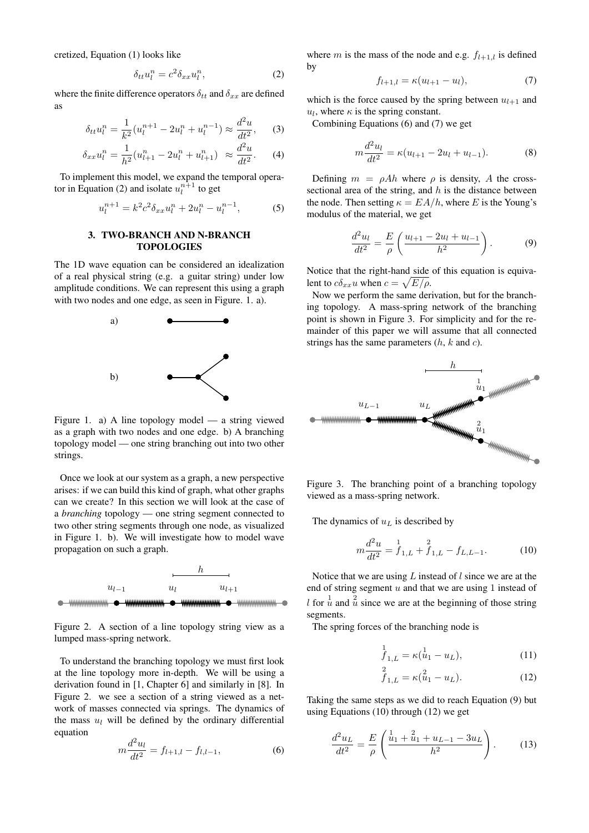cretized, Equation [\(1\)](#page-0-1) looks like

<span id="page-1-1"></span>
$$
\delta_{tt}u_l^n = c^2 \delta_{xx}u_l^n, \qquad (2)
$$

where the finite difference operators  $\delta_{tt}$  and  $\delta_{xx}$  are defined as

$$
\delta_{tt}u_l^n = \frac{1}{k^2}(u_l^{n+1} - 2u_l^n + u_l^{n-1}) \approx \frac{d^2u}{dt^2},\qquad(3)
$$

$$
\delta_{xx}u_l^n = \frac{1}{h^2}(u_{l+1}^n - 2u_l^n + u_{l+1}^n) \approx \frac{d^2u}{dt^2}.
$$
 (4)

To implement this model, we expand the temporal opera-tor in Equation [\(2\)](#page-1-1) and isolate  $u_l^{n+1}$  to get

$$
u_l^{n+1} = k^2 c^2 \delta_{xx} u_l^n + 2u_l^n - u_l^{n-1},
$$
 (5)

# 3. TWO-BRANCH AND N-BRANCH TOPOLOGIES

<span id="page-1-0"></span>The 1D wave equation can be considered an idealization of a real physical string (e.g. a guitar string) under low amplitude conditions. We can represent this using a graph with two nodes and one edge, as seen in Figure. [1.](#page-1-2) a).

<span id="page-1-2"></span>

Figure 1. a) A line topology model — a string viewed as a graph with two nodes and one edge. b) A branching topology model — one string branching out into two other strings.

Once we look at our system as a graph, a new perspective arises: if we can build this kind of graph, what other graphs can we create? In this section we will look at the case of a *branching* topology — one string segment connected to two other string segments through one node, as visualized in Figure [1.](#page-1-2) b). We will investigate how to model wave propagation on such a graph.

<span id="page-1-3"></span>

Figure 2. A section of a line topology string view as a lumped mass-spring network.

To understand the branching topology we must first look at the line topology more in-depth. We will be using a derivation found in [\[1,](#page-6-0) Chapter 6] and similarly in [\[8\]](#page-6-7). In Figure [2.](#page-1-3) we see a section of a string viewed as a network of masses connected via springs. The dynamics of the mass  $u_l$  will be defined by the ordinary differential equation

<span id="page-1-4"></span>
$$
m\frac{d^2u_l}{dt^2} = f_{l+1,l} - f_{l,l-1},
$$
\n(6)

where m is the mass of the node and e.g.  $f_{l+1,l}$  is defined by

<span id="page-1-5"></span>
$$
f_{l+1,l} = \kappa (u_{l+1} - u_l), \tag{7}
$$

which is the force caused by the spring between  $u_{l+1}$  and  $u_l$ , where  $\kappa$  is the spring constant.

Combining Equations [\(6\)](#page-1-4) and [\(7\)](#page-1-5) we get

$$
m\frac{d^2u_l}{dt^2} = \kappa(u_{l+1} - 2u_l + u_{l-1}).
$$
 (8)

Defining  $m = \rho Ah$  where  $\rho$  is density, A the crosssectional area of the string, and  $h$  is the distance between the node. Then setting  $\kappa = EA/h$ , where E is the Young's modulus of the material, we get

<span id="page-1-7"></span>
$$
\frac{d^2u_l}{dt^2} = \frac{E}{\rho} \left( \frac{u_{l+1} - 2u_l + u_{l-1}}{h^2} \right).
$$
 (9)

Notice that the right-hand side of this equation is equivalent to  $c\delta_{xx}u$  when  $c=\sqrt{E/\rho}$ .

Now we perform the same derivation, but for the branching topology. A mass-spring network of the branching point is shown in Figure [3.](#page-1-6) For simplicity and for the remainder of this paper we will assume that all connected strings has the same parameters  $(h, k \text{ and } c)$ .

<span id="page-1-6"></span>

Figure 3. The branching point of a branching topology viewed as a mass-spring network.

The dynamics of  $u<sub>L</sub>$  is described by

<span id="page-1-8"></span>
$$
m\frac{d^2u}{dt^2} = \stackrel{1}{f}_{1,L} + \stackrel{2}{f}_{1,L} - f_{L,L-1}.
$$
 (10)

Notice that we are using  $L$  instead of  $l$  since we are at the end of string segment  $u$  and that we are using 1 instead of l for  $\frac{1}{u}$  and  $\frac{2}{u}$  since we are at the beginning of those string segments.

The spring forces of the branching node is

<span id="page-1-9"></span>
$$
\stackrel{1}{f}_{1,L} = \kappa(\stackrel{1}{u}_1 - u_L),\tag{11}
$$

$$
\stackrel{2}{f}_{1,L} = \kappa (\stackrel{2}{u}_1 - u_L). \tag{12}
$$

Taking the same steps as we did to reach Equation [\(9\)](#page-1-7) but using Equations [\(10\)](#page-1-8) through [\(12\)](#page-1-9) we get

$$
\frac{d^2u_L}{dt^2} = \frac{E}{\rho} \left( \frac{u_1 + u_1 + u_{L-1} - 3u_L}{h^2} \right). \tag{13}
$$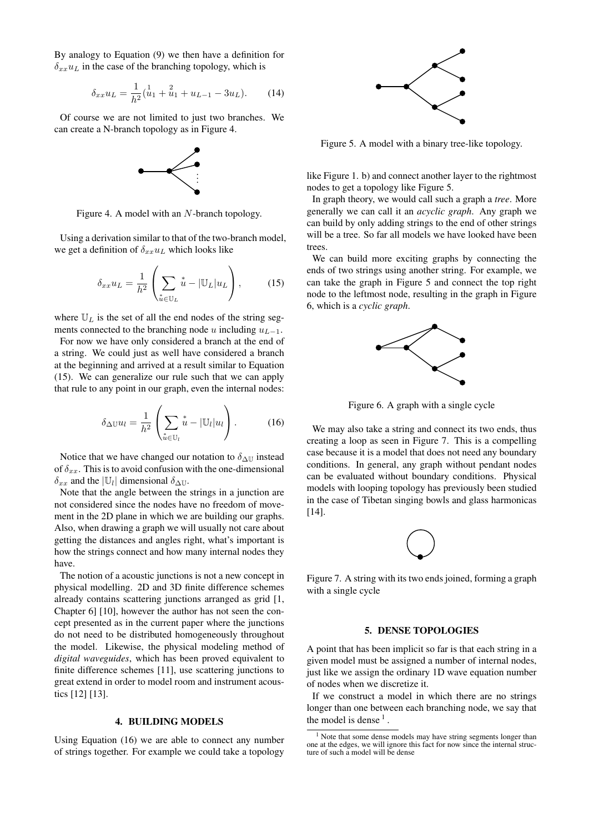By analogy to Equation [\(9\)](#page-1-7) we then have a definition for  $\delta_{xx}u_L$  in the case of the branching topology, which is

$$
\delta_{xx}u_L = \frac{1}{h^2}(\dot{u}_1 + \dot{u}_1 + u_{L-1} - 3u_L). \tag{14}
$$

<span id="page-2-2"></span>Of course we are not limited to just two branches. We can create a N-branch topology as in Figure [4.](#page-2-2)



Figure 4. A model with an N-branch topology.

Using a derivation similar to that of the two-branch model, we get a definition of  $\delta_{xx}u_L$  which looks like

<span id="page-2-3"></span>
$$
\delta_{xx} u_L = \frac{1}{h^2} \left( \sum_{\substack{\ast \\ u \in \mathbb{U}_L}} \mathfrak{F}_u - |\mathbb{U}_L| u_L \right), \tag{15}
$$

where  $\mathbb{U}_L$  is the set of all the end nodes of the string segments connected to the branching node u including  $u_{L-1}$ .

For now we have only considered a branch at the end of a string. We could just as well have considered a branch at the beginning and arrived at a result similar to Equation [\(15\)](#page-2-3). We can generalize our rule such that we can apply that rule to any point in our graph, even the internal nodes:

<span id="page-2-4"></span>
$$
\delta_{\Delta \mathbb{U}} u_l = \frac{1}{h^2} \left( \sum_{\substack{\ast \\ u \in \mathbb{U}_l}} \mathfrak{U}_u - |\mathbb{U}_l| u_l \right). \tag{16}
$$

Notice that we have changed our notation to  $\delta_{\Delta U}$  instead of  $\delta_{xx}$ . This is to avoid confusion with the one-dimensional  $\delta_{xx}$  and the  $|\mathbb{U}_l|$  dimensional  $\delta_{\Delta\mathbb{U}}$ .

Note that the angle between the strings in a junction are not considered since the nodes have no freedom of movement in the 2D plane in which we are building our graphs. Also, when drawing a graph we will usually not care about getting the distances and angles right, what's important is how the strings connect and how many internal nodes they have.

The notion of a acoustic junctions is not a new concept in physical modelling. 2D and 3D finite difference schemes already contains scattering junctions arranged as grid [\[1,](#page-6-0) Chapter 6] [\[10\]](#page-6-9), however the author has not seen the concept presented as in the current paper where the junctions do not need to be distributed homogeneously throughout the model. Likewise, the physical modeling method of *digital waveguides*, which has been proved equivalent to finite difference schemes [\[11\]](#page-6-10), use scattering junctions to great extend in order to model room and instrument acoustics [\[12\]](#page-6-11) [\[13\]](#page-6-12).

# 4. BUILDING MODELS

<span id="page-2-0"></span>Using Equation [\(16\)](#page-2-4) we are able to connect any number of strings together. For example we could take a topology

<span id="page-2-5"></span>

Figure 5. A model with a binary tree-like topology.

like Figure [1.](#page-1-2) b) and connect another layer to the rightmost nodes to get a topology like Figure [5.](#page-2-5)

In graph theory, we would call such a graph a *tree*. More generally we can call it an *acyclic graph*. Any graph we can build by only adding strings to the end of other strings will be a tree. So far all models we have looked have been trees.

<span id="page-2-6"></span>We can build more exciting graphs by connecting the ends of two strings using another string. For example, we can take the graph in Figure [5](#page-2-5) and connect the top right node to the leftmost node, resulting in the graph in Figure [6,](#page-2-6) which is a *cyclic graph*.



Figure 6. A graph with a single cycle

We may also take a string and connect its two ends, thus creating a loop as seen in Figure [7.](#page-2-7) This is a compelling case because it is a model that does not need any boundary conditions. In general, any graph without pendant nodes can be evaluated without boundary conditions. Physical models with looping topology has previously been studied in the case of Tibetan singing bowls and glass harmonicas [\[14\]](#page-6-13).



<span id="page-2-7"></span>Figure 7. A string with its two ends joined, forming a graph with a single cycle

#### 5. DENSE TOPOLOGIES

<span id="page-2-1"></span>A point that has been implicit so far is that each string in a given model must be assigned a number of internal nodes, just like we assign the ordinary 1D wave equation number of nodes when we discretize it.

If we construct a model in which there are no strings longer than one between each branching node, we say that the model is dense  $<sup>1</sup>$  $<sup>1</sup>$  $<sup>1</sup>$ .</sup>

<span id="page-2-8"></span><sup>&</sup>lt;sup>1</sup> Note that some dense models may have string segments longer than one at the edges, we will ignore this fact for now since the internal structure of such a model will be dense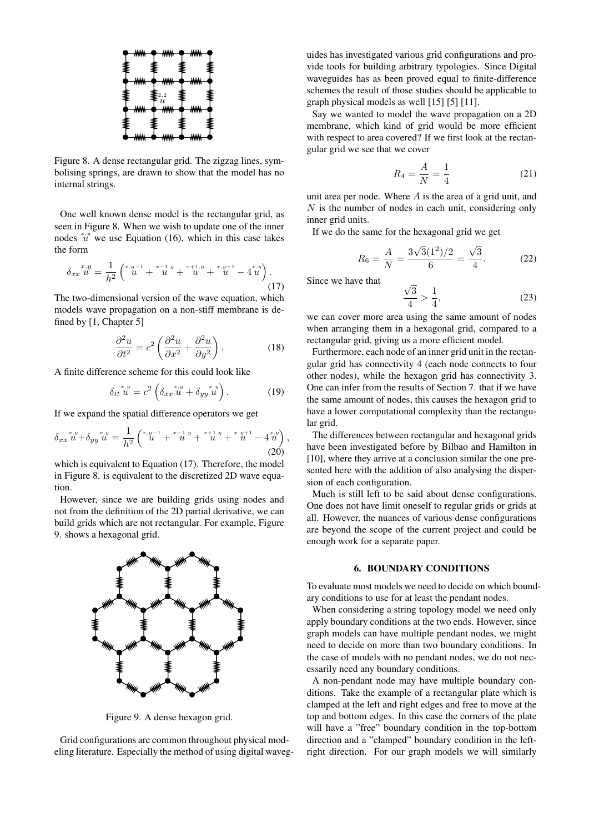<span id="page-3-1"></span>

Figure 8. A dense rectangular grid. The zigzag lines, symbolising springs, are drawn to show that the model has no internal strings.

One well known dense model is the rectangular grid, as seen in Figure [8.](#page-3-1) When we wish to update one of the inner nodes  $\hat{u}^{x,y}$  we use Equation [\(16\)](#page-2-4), which in this case takes the form

<span id="page-3-2"></span>
$$
\delta_{xx}^{x,y} = \frac{1}{h^2} \begin{pmatrix} x, y-1 \\ u \end{pmatrix} + \frac{x-1}{u} y + \frac{x+1}{u} y + \frac{x, y+1}{u} - 4 \frac{x, y}{u} \begin{pmatrix} 1 \\ 1 \end{pmatrix} . \tag{17}
$$

The two-dimensional version of the wave equation, which models wave propagation on a non-stiff membrane is defined by [\[1,](#page-6-0) Chapter 5]

$$
\frac{\partial^2 u}{\partial t^2} = c^2 \left( \frac{\partial^2 u}{\partial x^2} + \frac{\partial^2 u}{\partial y^2} \right).
$$
 (18)

A finite difference scheme for this could look like

$$
\delta_{tt}^{x,y} = c^2 \left( \delta_{xx}^{x,y} u + \delta_{yy}^{x,y} u \right). \tag{19}
$$

If we expand the spatial difference operators we get

$$
\delta_{xx}^{x,y}u + \delta_{yy}^{x,y}u = \frac{1}{h^2} \left( x, y^{-1} + x^{-1,y} + x^{y+1,y} + x^{y+1} - 4 \, u \right),\tag{20}
$$

which is equivalent to Equation [\(17\)](#page-3-2). Therefore, the model in Figure [8.](#page-3-1) is equivalent to the discretized 2D wave equation.

However, since we are building grids using nodes and not from the definition of the 2D partial derivative, we can build grids which are not rectangular. For example, Figure [9.](#page-3-3) shows a hexagonal grid.

<span id="page-3-3"></span>

Figure 9. A dense hexagon grid.

Grid configurations are common throughout physical modeling literature. Especially the method of using digital waveguides has investigated various grid configurations and provide tools for building arbitrary typologies. Since Digital waveguides has as been proved equal to finite-difference schemes the result of those studies should be applicable to graph physical models as well [\[15\]](#page-6-14) [\[5\]](#page-6-4) [\[11\]](#page-6-10).

Say we wanted to model the wave propagation on a 2D membrane, which kind of grid would be more efficient with respect to area covered? If we first look at the rectangular grid we see that we cover

$$
R_4 = \frac{A}{N} = \frac{1}{4}
$$
 (21)

unit area per node. Where  $A$  is the area of a grid unit, and  $N$  is the number of nodes in each unit, considering only inner grid units.

If we do the same for the hexagonal grid we get

√

$$
R_6 = \frac{A}{N} = \frac{3\sqrt{3}(1^2)/2}{6} = \frac{\sqrt{3}}{4}.
$$
 (22)

Since we have that

$$
\frac{\sqrt{3}}{4} > \frac{1}{4},\tag{23}
$$

we can cover more area using the same amount of nodes when arranging them in a hexagonal grid, compared to a rectangular grid, giving us a more efficient model.

Furthermore, each node of an inner grid unit in the rectangular grid has connectivity 4 (each node connects to four other nodes), while the hexagon grid has connectivity 3. One can infer from the results of Section [7.](#page-4-0) that if we have the same amount of nodes, this causes the hexagon grid to have a lower computational complexity than the rectangular grid.

The differences between rectangular and hexagonal grids have been investigated before by Bilbao and Hamilton in [\[10\]](#page-6-9), where they arrive at a conclusion similar the one presented here with the addition of also analysing the dispersion of each configuration.

Much is still left to be said about dense configurations. One does not have limit oneself to regular grids or grids at all. However, the nuances of various dense configurations are beyond the scope of the current project and could be enough work for a separate paper.

# 6. BOUNDARY CONDITIONS

<span id="page-3-0"></span>To evaluate most models we need to decide on which boundary conditions to use for at least the pendant nodes.

When considering a string topology model we need only apply boundary conditions at the two ends. However, since graph models can have multiple pendant nodes, we might need to decide on more than two boundary conditions. In the case of models with no pendant nodes, we do not necessarily need any boundary conditions.

A non-pendant node may have multiple boundary conditions. Take the example of a rectangular plate which is clamped at the left and right edges and free to move at the top and bottom edges. In this case the corners of the plate will have a "free" boundary condition in the top-bottom direction and a "clamped" boundary condition in the leftright direction. For our graph models we will similarly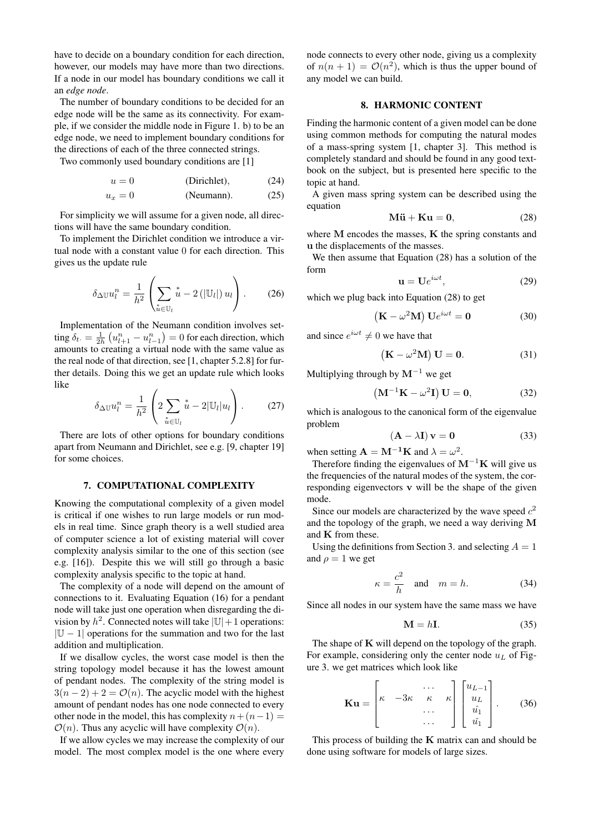have to decide on a boundary condition for each direction, however, our models may have more than two directions. If a node in our model has boundary conditions we call it an *edge node*.

The number of boundary conditions to be decided for an edge node will be the same as its connectivity. For example, if we consider the middle node in Figure [1.](#page-1-2) b) to be an edge node, we need to implement boundary conditions for the directions of each of the three connected strings.

Two commonly used boundary conditions are [\[1\]](#page-6-0)

$$
u = 0
$$
 (Dirichlet), (24)

$$
u_x = 0
$$
 (Neumann). (25)

For simplicity we will assume for a given node, all directions will have the same boundary condition.

To implement the Dirichlet condition we introduce a virtual node with a constant value 0 for each direction. This gives us the update rule

$$
\delta_{\Delta \mathbb{U}} u_l^n = \frac{1}{h^2} \left( \sum_{\mathbf{\tilde{u}} \in \mathbb{U}_l} \mathbf{\tilde{u}} - 2 \left( |\mathbb{U}_l| \right) u_l \right). \tag{26}
$$

Implementation of the Neumann condition involves setting  $\delta_t = \frac{1}{2h} \left( u_{l+1}^n - u_{l-1}^n \right) = 0$  for each direction, which amounts to creating a virtual node with the same value as the real node of that direction, see [\[1,](#page-6-0) chapter 5.2.8] for further details. Doing this we get an update rule which looks like

$$
\delta_{\Delta \mathbb{U}} u_l^n = \frac{1}{h^2} \left( 2 \sum_{\substack{\ast \\ u \in \mathbb{U}_l}} \mathring{u} - 2 |\mathbb{U}_l| u_l \right). \tag{27}
$$

There are lots of other options for boundary conditions apart from Neumann and Dirichlet, see e.g. [\[9,](#page-6-8) chapter 19] for some choices.

## 7. COMPUTATIONAL COMPLEXITY

<span id="page-4-0"></span>Knowing the computational complexity of a given model is critical if one wishes to run large models or run models in real time. Since graph theory is a well studied area of computer science a lot of existing material will cover complexity analysis similar to the one of this section (see e.g. [\[16\]](#page-6-15)). Despite this we will still go through a basic complexity analysis specific to the topic at hand.

The complexity of a node will depend on the amount of connections to it. Evaluating Equation [\(16\)](#page-2-4) for a pendant node will take just one operation when disregarding the division by  $h^2$ . Connected notes will take  $|\mathbb{U}|+1$  operations:  $|U - 1|$  operations for the summation and two for the last addition and multiplication.

If we disallow cycles, the worst case model is then the string topology model because it has the lowest amount of pendant nodes. The complexity of the string model is  $3(n-2)+2=\mathcal{O}(n)$ . The acyclic model with the highest amount of pendant nodes has one node connected to every other node in the model, this has complexity  $n + (n-1) =$  $\mathcal{O}(n)$ . Thus any acyclic will have complexity  $\mathcal{O}(n)$ .

If we allow cycles we may increase the complexity of our model. The most complex model is the one where every node connects to every other node, giving us a complexity of  $n(n + 1) = \mathcal{O}(n^2)$ , which is thus the upper bound of any model we can build.

### 8. HARMONIC CONTENT

<span id="page-4-1"></span>Finding the harmonic content of a given model can be done using common methods for computing the natural modes of a mass-spring system [\[1,](#page-6-0) chapter 3]. This method is completely standard and should be found in any good textbook on the subject, but is presented here specific to the topic at hand.

A given mass spring system can be described using the equation

<span id="page-4-2"></span>
$$
M\ddot{u} + Ku = 0, \qquad (28)
$$

where M encodes the masses, K the spring constants and u the displacements of the masses.

We then assume that Equation [\(28\)](#page-4-2) has a solution of the form

$$
\mathbf{u} = \mathbf{U}e^{i\omega t},\tag{29}
$$

which we plug back into Equation [\(28\)](#page-4-2) to get

$$
(\mathbf{K} - \omega^2 \mathbf{M}) \mathbf{U} e^{i\omega t} = \mathbf{0}
$$
 (30)

and since  $e^{i\omega t} \neq 0$  we have that

$$
(\mathbf{K} - \omega^2 \mathbf{M}) \mathbf{U} = \mathbf{0}.
$$
 (31)

Multiplying through by  $M^{-1}$  we get

$$
\left(\mathbf{M}^{-1}\mathbf{K} - \omega^2 \mathbf{I}\right)\mathbf{U} = \mathbf{0},\tag{32}
$$

which is analogous to the canonical form of the eigenvalue problem

$$
(\mathbf{A} - \lambda \mathbf{I}) \mathbf{v} = \mathbf{0} \tag{33}
$$

when setting  $\mathbf{A} = \mathbf{M}^{-1}\mathbf{K}$  and  $\lambda = \omega^2$ .

Therefore finding the eigenvalues of  $M^{-1}K$  will give us the frequencies of the natural modes of the system, the corresponding eigenvectors v will be the shape of the given mode.

Since our models are characterized by the wave speed  $c<sup>2</sup>$ and the topology of the graph, we need a way deriving M and K from these.

Using the definitions from Section [3.](#page-1-0) and selecting  $A = 1$ and  $\rho = 1$  we get

$$
\kappa = \frac{c^2}{h} \quad \text{and} \quad m = h. \tag{34}
$$

Since all nodes in our system have the same mass we have

$$
\mathbf{M} = h\mathbf{I}.\tag{35}
$$

The shape of  $K$  will depend on the topology of the graph. For example, considering only the center node  $u<sub>L</sub>$  of Figure [3.](#page-1-6) we get matrices which look like

$$
\mathbf{Ku} = \begin{bmatrix} \kappa & -3\kappa & \kappa & \kappa \\ \kappa & -3\kappa & \kappa & \kappa \\ \cdots & \cdots & \vdots \\ \end{bmatrix} \begin{bmatrix} u_{L-1} \\ u_L \\ \hat{u}_1 \\ \hat{u}_1 \end{bmatrix} . \tag{36}
$$

This process of building the  $K$  matrix can and should be done using software for models of large sizes.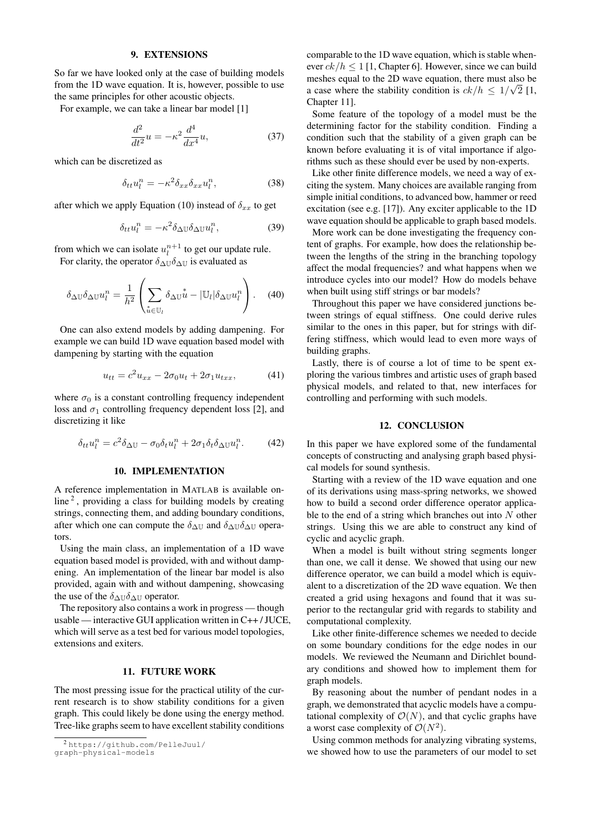### 9. EXTENSIONS

So far we have looked only at the case of building models from the 1D wave equation. It is, however, possible to use the same principles for other acoustic objects.

For example, we can take a linear bar model [\[1\]](#page-6-0)

$$
\frac{d^2}{dt^2}u = -\kappa^2 \frac{d^4}{dx^4}u,\t\t(37)
$$

which can be discretized as

$$
\delta_{tt}u_l^n = -\kappa^2 \delta_{xx}\delta_{xx}u_l^n, \qquad (38)
$$

after which we apply Equation [\(10\)](#page-1-8) instead of  $\delta_{xx}$  to get

$$
\delta_{tt}u_l^n = -\kappa^2 \delta_{\Delta\mathbb{U}}\delta_{\Delta\mathbb{U}}u_l^n,\tag{39}
$$

from which we can isolate  $u_l^{n+1}$  to get our update rule. For clarity, the operator  $\delta_{\Delta\mathbb{U}}\delta_{\Delta\mathbb{U}}$  is evaluated as

 $\overline{1}$  $\lambda$ 

$$
\delta_{\Delta \mathbb{U}} \delta_{\Delta \mathbb{U}} u_l^n = \frac{1}{h^2} \left( \sum_{\mathbf{u} \in \mathbb{U}_l} \delta_{\Delta \mathbb{U}} \mathbf{u}^n - |\mathbb{U}_l| \delta_{\Delta \mathbb{U}} u_l^n \right). \tag{40}
$$

One can also extend models by adding dampening. For example we can build 1D wave equation based model with dampening by starting with the equation

$$
u_{tt} = c^2 u_{xx} - 2\sigma_0 u_t + 2\sigma_1 u_{txx}, \tag{41}
$$

where  $\sigma_0$  is a constant controlling frequency independent loss and  $\sigma_1$  controlling frequency dependent loss [\[2\]](#page-6-1), and discretizing it like

$$
\delta_{tt}u_l^n = c^2 \delta_{\Delta U} - \sigma_0 \delta_t u_l^n + 2\sigma_1 \delta_t \delta_{\Delta U} u_l^n. \tag{42}
$$

#### 10. IMPLEMENTATION

<span id="page-5-0"></span>A reference implementation in MATLAB is available on-line<sup>[2](#page-5-3)</sup>, providing a class for building models by creating strings, connecting them, and adding boundary conditions, after which one can compute the  $\delta_{\Delta \mathbb{U}}$  and  $\delta_{\Delta \mathbb{U}}\delta_{\Delta \mathbb{U}}$  operators.

Using the main class, an implementation of a 1D wave equation based model is provided, with and without dampening. An implementation of the linear bar model is also provided, again with and without dampening, showcasing the use of the  $\delta_{\Delta U} \delta_{\Delta U}$  operator.

The repository also contains a work in progress — though usable — interactive GUI application written in C++ / JUCE, which will serve as a test bed for various model topologies, extensions and exiters.

## 11. FUTURE WORK

<span id="page-5-1"></span>The most pressing issue for the practical utility of the current research is to show stability conditions for a given graph. This could likely be done using the energy method. Tree-like graphs seem to have excellent stability conditions comparable to the 1D wave equation, which is stable whenever  $ck/h \le 1$  [\[1,](#page-6-0) Chapter 6]. However, since we can build meshes equal to the 2D wave equation, there must also be a case where the stability condition is  $ck/h \leq 1/\sqrt{2}$  [\[1,](#page-6-0) Chapter 11].

Some feature of the topology of a model must be the determining factor for the stability condition. Finding a condition such that the stability of a given graph can be known before evaluating it is of vital importance if algorithms such as these should ever be used by non-experts.

Like other finite difference models, we need a way of exciting the system. Many choices are available ranging from simple initial conditions, to advanced bow, hammer or reed excitation (see e.g. [\[17\]](#page-6-16)). Any exciter applicable to the 1D wave equation should be applicable to graph based models.

More work can be done investigating the frequency content of graphs. For example, how does the relationship between the lengths of the string in the branching topology affect the modal frequencies? and what happens when we introduce cycles into our model? How do models behave when built using stiff strings or bar models?

Throughout this paper we have considered junctions between strings of equal stiffness. One could derive rules similar to the ones in this paper, but for strings with differing stiffness, which would lead to even more ways of building graphs.

Lastly, there is of course a lot of time to be spent exploring the various timbres and artistic uses of graph based physical models, and related to that, new interfaces for controlling and performing with such models.

# 12. CONCLUSION

<span id="page-5-2"></span>In this paper we have explored some of the fundamental concepts of constructing and analysing graph based physical models for sound synthesis.

Starting with a review of the 1D wave equation and one of its derivations using mass-spring networks, we showed how to build a second order difference operator applicable to the end of a string which branches out into  $N$  other strings. Using this we are able to construct any kind of cyclic and acyclic graph.

When a model is built without string segments longer than one, we call it dense. We showed that using our new difference operator, we can build a model which is equivalent to a discretization of the 2D wave equation. We then created a grid using hexagons and found that it was superior to the rectangular grid with regards to stability and computational complexity.

Like other finite-difference schemes we needed to decide on some boundary conditions for the edge nodes in our models. We reviewed the Neumann and Dirichlet boundary conditions and showed how to implement them for graph models.

By reasoning about the number of pendant nodes in a graph, we demonstrated that acyclic models have a computational complexity of  $\mathcal{O}(N)$ , and that cyclic graphs have a worst case complexity of  $\mathcal{O}(N^2)$ .

Using common methods for analyzing vibrating systems, we showed how to use the parameters of our model to set

<span id="page-5-3"></span><sup>2</sup> [https://github.com/PelleJuul/](https://github.com/PelleJuul/graph-physical-models) [graph-physical-models](https://github.com/PelleJuul/graph-physical-models)